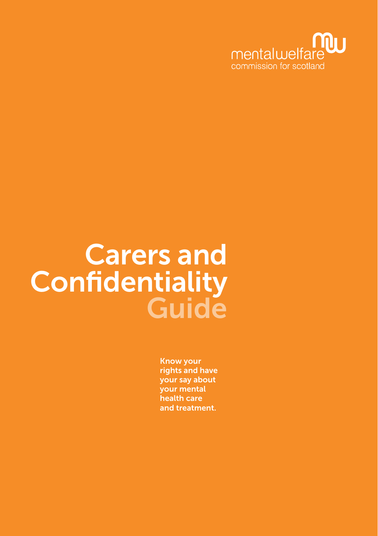

# Guide Carers and **Confidentiality**

Know your rights and have your say about your mental health care and treatment.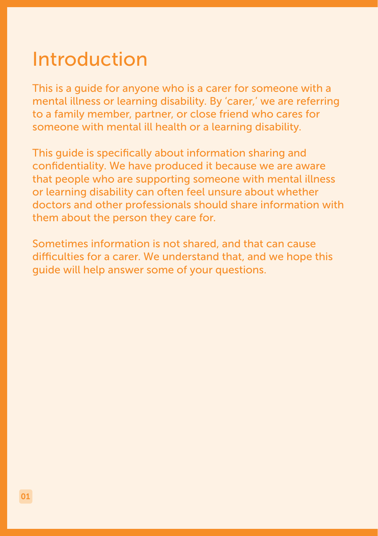#### Introduction

This is a guide for anyone who is a carer for someone with a mental illness or learning disability. By 'carer,' we are referring to a family member, partner, or close friend who cares for someone with mental ill health or a learning disability.

This guide is specifically about information sharing and confidentiality. We have produced it because we are aware that people who are supporting someone with mental illness or learning disability can often feel unsure about whether doctors and other professionals should share information with them about the person they care for.

Sometimes information is not shared, and that can cause difficulties for a carer. We understand that, and we hope this guide will help answer some of your questions.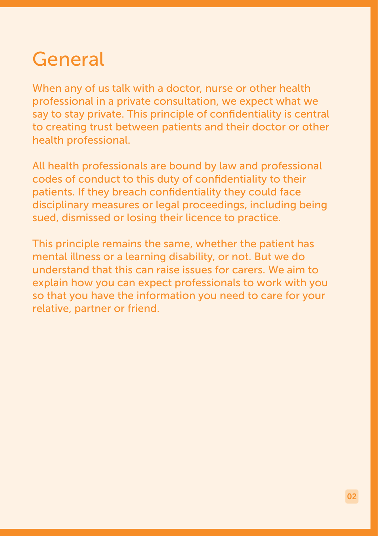#### General

When any of us talk with a doctor, nurse or other health professional in a private consultation, we expect what we say to stay private. This principle of confidentiality is central to creating trust between patients and their doctor or other health professional.

All health professionals are bound by law and professional codes of conduct to this duty of confidentiality to their patients. If they breach confidentiality they could face disciplinary measures or legal proceedings, including being sued, dismissed or losing their licence to practice.

This principle remains the same, whether the patient has mental illness or a learning disability, or not. But we do understand that this can raise issues for carers. We aim to explain how you can expect professionals to work with you so that you have the information you need to care for your relative, partner or friend.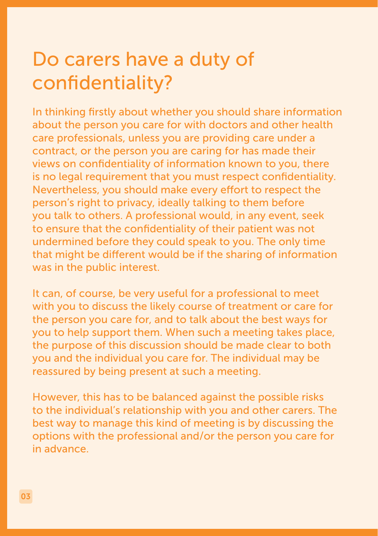## Do carers have a duty of confidentiality?

In thinking firstly about whether you should share information about the person you care for with doctors and other health care professionals, unless you are providing care under a contract, or the person you are caring for has made their views on confidentiality of information known to you, there is no legal requirement that you must respect confidentiality. Nevertheless, you should make every effort to respect the person's right to privacy, ideally talking to them before you talk to others. A professional would, in any event, seek to ensure that the confidentiality of their patient was not undermined before they could speak to you. The only time that might be different would be if the sharing of information was in the public interest.

It can, of course, be very useful for a professional to meet with you to discuss the likely course of treatment or care for the person you care for, and to talk about the best ways for you to help support them. When such a meeting takes place, the purpose of this discussion should be made clear to both you and the individual you care for. The individual may be reassured by being present at such a meeting.

However, this has to be balanced against the possible risks to the individual's relationship with you and other carers. The best way to manage this kind of meeting is by discussing the options with the professional and/or the person you care for in advance.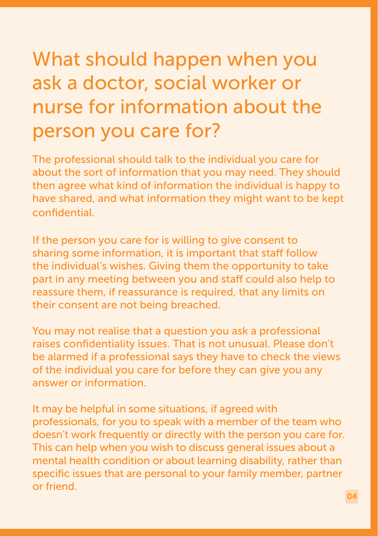## What should happen when you ask a doctor, social worker or nurse for information about the person you care for?

The professional should talk to the individual you care for about the sort of information that you may need. They should then agree what kind of information the individual is happy to have shared, and what information they might want to be kept confidential.

If the person you care for is willing to give consent to sharing some information, it is important that staff follow the individual's wishes. Giving them the opportunity to take part in any meeting between you and staff could also help to reassure them, if reassurance is required, that any limits on their consent are not being breached.

You may not realise that a question you ask a professional raises confidentiality issues. That is not unusual. Please don't be alarmed if a professional says they have to check the views of the individual you care for before they can give you any answer or information.

It may be helpful in some situations, if agreed with professionals, for you to speak with a member of the team who doesn't work frequently or directly with the person you care for. This can help when you wish to discuss general issues about a mental health condition or about learning disability, rather than specific issues that are personal to your family member, partner or friend.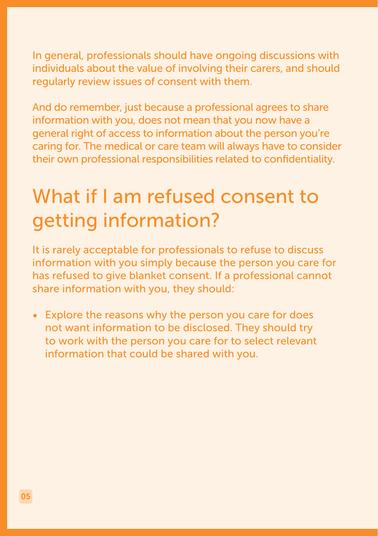In general, professionals should have ongoing discussions with individuals about the value of involving their carers, and should regularly review issues of consent with them.

And do remember, just because a professional agrees to share information with you, does not mean that you now have a general right of access to information about the person you're caring for. The medical or care team will always have to consider their own professional responsibilities related to confidentiality.

#### What if I am refused consent to getting information?

It is rarely acceptable for professionals to refuse to discuss information with you simply because the person you care for has refused to give blanket consent. If a professional cannot share information with you, they should:

Explore the reasons why the person you care for does not want information to be disclosed. They should try to work with the person you care for to select relevant information that could be shared with you.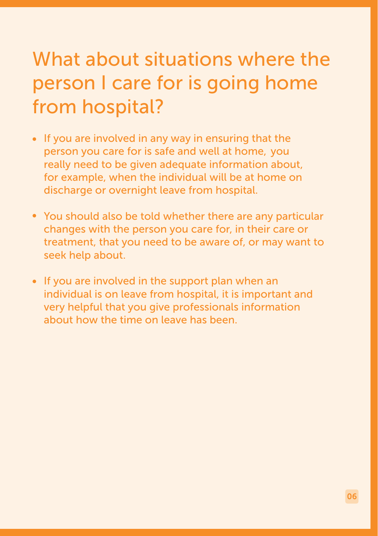## What about situations where the person I care for is going home from hospital?

- If you are involved in any way in ensuring that the person you care for is safe and well at home, you really need to be given adequate information about, for example, when the individual will be at home on discharge or overnight leave from hospital.
- You should also be told whether there are any particular changes with the person you care for, in their care or treatment, that you need to be aware of, or may want to seek help about.
- If you are involved in the support plan when an individual is on leave from hospital, it is important and very helpful that you give professionals information about how the time on leave has been.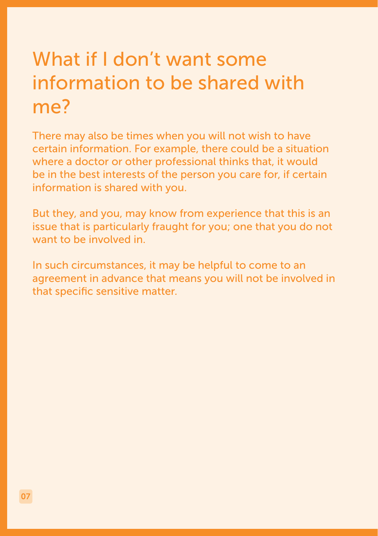## What if I don't want some information to be shared with me?

There may also be times when you will not wish to have certain information. For example, there could be a situation where a doctor or other professional thinks that, it would be in the best interests of the person you care for, if certain information is shared with you.

But they, and you, may know from experience that this is an issue that is particularly fraught for you; one that you do not want to be involved in.

In such circumstances, it may be helpful to come to an agreement in advance that means you will not be involved in that specific sensitive matter.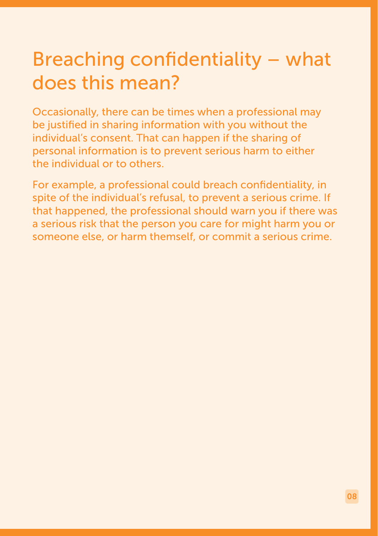## Breaching confidentiality – what does this mean?

Occasionally, there can be times when a professional may be justified in sharing information with you without the individual's consent. That can happen if the sharing of personal information is to prevent serious harm to either the individual or to others.

For example, a professional could breach confidentiality, in spite of the individual's refusal, to prevent a serious crime. If that happened, the professional should warn you if there was a serious risk that the person you care for might harm you or someone else, or harm themself, or commit a serious crime.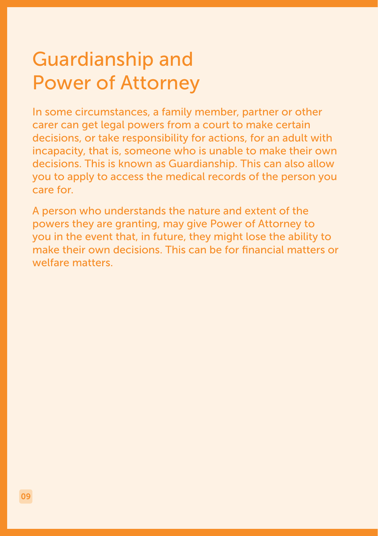## Guardianship and Power of Attorney

In some circumstances, a family member, partner or other carer can get legal powers from a court to make certain decisions, or take responsibility for actions, for an adult with incapacity, that is, someone who is unable to make their own decisions. This is known as Guardianship. This can also allow you to apply to access the medical records of the person you care for.

A person who understands the nature and extent of the powers they are granting, may give Power of Attorney to you in the event that, in future, they might lose the ability to make their own decisions. This can be for financial matters or welfare matters.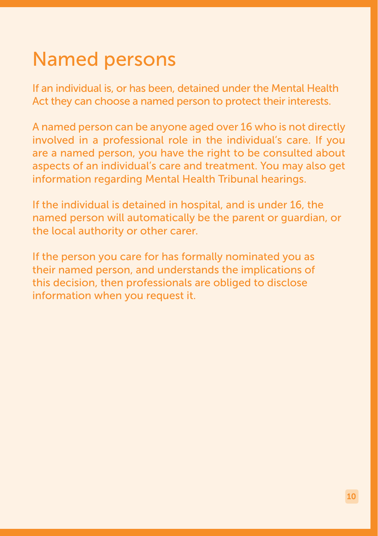#### Named persons

If an individual is, or has been, detained under the Mental Health Act they can choose a named person to protect their interests.

A named person can be anyone aged over 16 who is not directly involved in a professional role in the individual's care. If you are a named person, you have the right to be consulted about aspects of an individual's care and treatment. You may also get information regarding Mental Health Tribunal hearings.

If the individual is detained in hospital, and is under 16, the named person will automatically be the parent or guardian, or the local authority or other carer.

If the person you care for has formally nominated you as their named person, and understands the implications of this decision, then professionals are obliged to disclose information when you request it.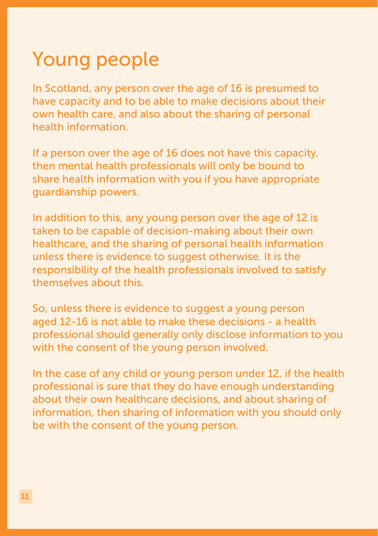## Young people

In Scotland, any person over the age of 16 is presumed to have capacity and to be able to make decisions about their own health care, and also about the sharing of personal health information.

If a person over the age of 16 does not have this capacity, then mental health professionals will only be bound to share health information with you if you have appropriate guardianship powers.

In addition to this, any young person over the age of 12 is taken to be capable of decision-making about their own healthcare, and the sharing of personal health information unless there is evidence to suggest otherwise. It is the responsibility of the health professionals involved to satisfy themselves about this.

So, unless there is evidence to suggest a young person aged 12-16 is not able to make these decisions - a health professional should generally only disclose information to you with the consent of the young person involved.

In the case of any child or young person under 12, if the health professional is sure that they do have enough understanding about their own healthcare decisions, and about sharing of information, then sharing of information with you should only be with the consent of the young person.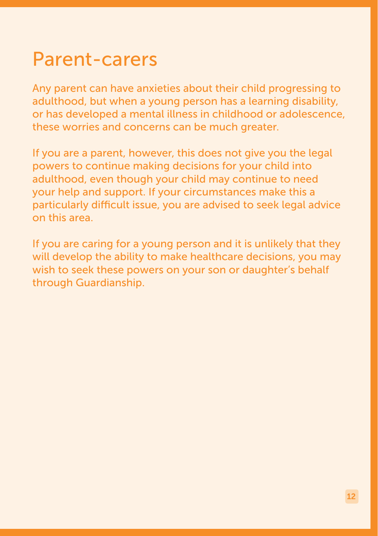#### Parent-carers

Any parent can have anxieties about their child progressing to adulthood, but when a young person has a learning disability, or has developed a mental illness in childhood or adolescence, these worries and concerns can be much greater.

If you are a parent, however, this does not give you the legal powers to continue making decisions for your child into adulthood, even though your child may continue to need your help and support. If your circumstances make this a particularly difficult issue, you are advised to seek legal advice on this area.

If you are caring for a young person and it is unlikely that they will develop the ability to make healthcare decisions, you may wish to seek these powers on your son or daughter's behalf through Guardianship.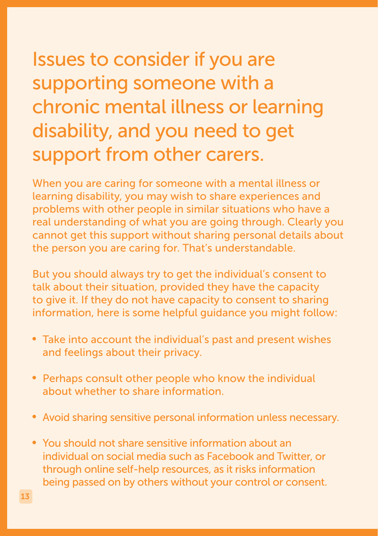## Issues to consider if you are supporting someone with a chronic mental illness or learning disability, and you need to get support from other carers.

When you are caring for someone with a mental illness or learning disability, you may wish to share experiences and problems with other people in similar situations who have a real understanding of what you are going through. Clearly you cannot get this support without sharing personal details about the person you are caring for. That's understandable.

But you should always try to get the individual's consent to talk about their situation, provided they have the capacity to give it. If they do not have capacity to consent to sharing information, here is some helpful guidance you might follow:

- Take into account the individual's past and present wishes and feelings about their privacy.
- Perhaps consult other people who know the individual about whether to share information.
- Avoid sharing sensitive personal information unless necessary.
- You should not share sensitive information about an individual on social media such as Facebook and Twitter, or through online self-help resources, as it risks information being passed on by others without your control or consent.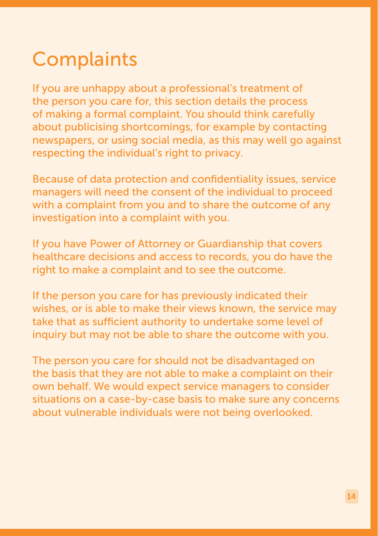## **Complaints**

If you are unhappy about a professional's treatment of the person you care for, this section details the process of making a formal complaint. You should think carefully about publicising shortcomings, for example by contacting newspapers, or using social media, as this may well go against respecting the individual's right to privacy.

Because of data protection and confidentiality issues, service managers will need the consent of the individual to proceed with a complaint from you and to share the outcome of any investigation into a complaint with you.

If you have Power of Attorney or Guardianship that covers healthcare decisions and access to records, you do have the right to make a complaint and to see the outcome.

If the person you care for has previously indicated their wishes, or is able to make their views known, the service may take that as sufficient authority to undertake some level of inquiry but may not be able to share the outcome with you.

The person you care for should not be disadvantaged on the basis that they are not able to make a complaint on their own behalf. We would expect service managers to consider situations on a case-by-case basis to make sure any concerns about vulnerable individuals were not being overlooked.